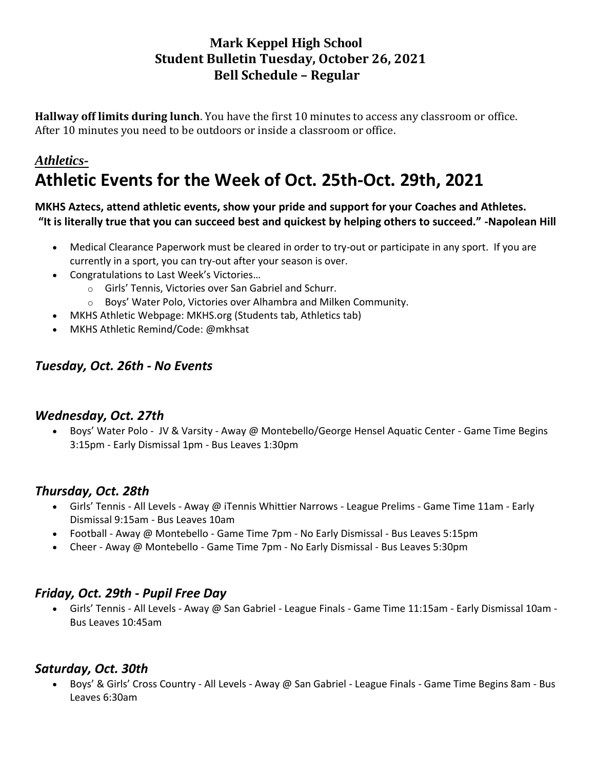## **Mark Keppel High School Student Bulletin Tuesday, October 26, 2021 Bell Schedule – Regular**

**Hallway off limits during lunch**. You have the first 10 minutes to access any classroom or office. After 10 minutes you need to be outdoors or inside a classroom or office.

# *Athletics-***Athletic Events for the Week of Oct. 25th-Oct. 29th, 2021**

#### **MKHS Aztecs, attend athletic events, show your pride and support for your Coaches and Athletes. "It is literally true that you can succeed best and quickest by helping others to succeed." -Napolean Hill**

- Medical Clearance Paperwork must be cleared in order to try-out or participate in any sport. If you are currently in a sport, you can try-out after your season is over.
- Congratulations to Last Week's Victories…
	- o Girls' Tennis, Victories over San Gabriel and Schurr.
	- o Boys' Water Polo, Victories over Alhambra and Milken Community.
- MKHS Athletic Webpage: MKHS.org (Students tab, Athletics tab)
- MKHS Athletic Remind/Code: @mkhsat

## *Tuesday, Oct. 26th - No Events*

#### *Wednesday, Oct. 27th*

• Boys' Water Polo - JV & Varsity - Away @ Montebello/George Hensel Aquatic Center - Game Time Begins 3:15pm - Early Dismissal 1pm - Bus Leaves 1:30pm

## *Thursday, Oct. 28th*

- Girls' Tennis All Levels Away @ iTennis Whittier Narrows League Prelims Game Time 11am Early Dismissal 9:15am - Bus Leaves 10am
- Football Away @ Montebello Game Time 7pm No Early Dismissal Bus Leaves 5:15pm
- Cheer Away @ Montebello Game Time 7pm No Early Dismissal Bus Leaves 5:30pm

## *Friday, Oct. 29th - Pupil Free Day*

• Girls' Tennis - All Levels - Away @ San Gabriel - League Finals - Game Time 11:15am - Early Dismissal 10am - Bus Leaves 10:45am

## *Saturday, Oct. 30th*

• Boys' & Girls' Cross Country - All Levels - Away @ San Gabriel - League Finals - Game Time Begins 8am - Bus Leaves 6:30am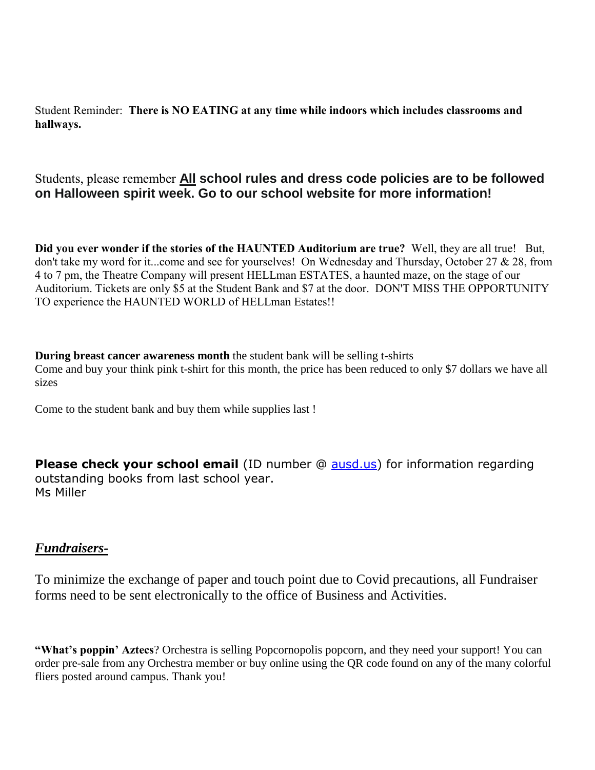Student Reminder: **There is NO EATING at any time while indoors which includes classrooms and hallways.**

## Students, please remember **All school rules and dress code policies are to be followed on Halloween spirit week. Go to our school website for more information!**

**Did you ever wonder if the stories of the HAUNTED Auditorium are true?** Well, they are all true! But, don't take my word for it...come and see for yourselves! On Wednesday and Thursday, October 27 & 28, from 4 to 7 pm, the Theatre Company will present HELLman ESTATES, a haunted maze, on the stage of our Auditorium. Tickets are only \$5 at the Student Bank and \$7 at the door. DON'T MISS THE OPPORTUNITY TO experience the HAUNTED WORLD of HELLman Estates!!

**During breast cancer awareness month** the student bank will be selling t-shirts Come and buy your think pink t-shirt for this month, the price has been reduced to only \$7 dollars we have all sizes

Come to the student bank and buy them while supplies last !

**Please check your school email** (ID number @ [ausd.us\)](http://ausd.us/) for information regarding outstanding books from last school year. Ms Miller

#### *Fundraisers-*

To minimize the exchange of paper and touch point due to Covid precautions, all Fundraiser forms need to be sent electronically to the office of Business and Activities.

**"What's poppin' Aztecs**? Orchestra is selling Popcornopolis popcorn, and they need your support! You can order pre-sale from any Orchestra member or buy online using the QR code found on any of the many colorful fliers posted around campus. Thank you!